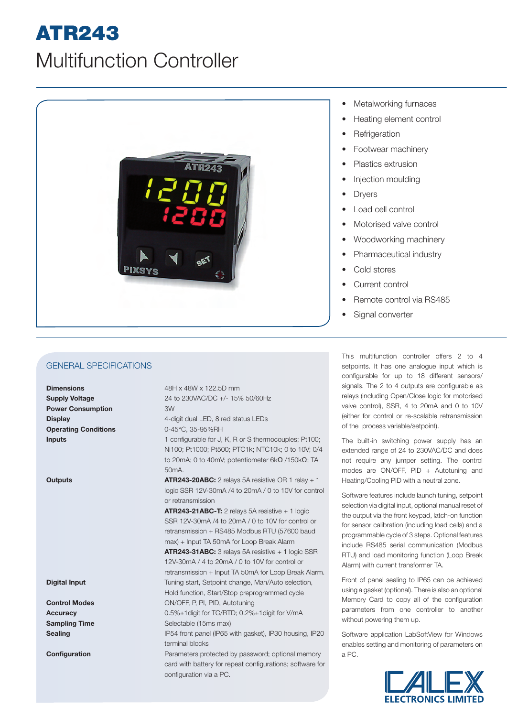## ATR243

## Multifunction Controller



General Specifications

**Dimensions** 48H x 48W x 122.5D mm **Power Consumption** 3W **Operating Conditions** 0-45°C, 35-95%RH

**Supply Voltage** 24 to 230VAC/DC +/- 15% 50/60Hz **Display** 4-digit dual LED, 8 red status LEDs

**Inputs** 1 configurable for J, K, R or S thermocouples; Pt100; Ni100; Pt1000; Pt500; PTC1k; NTC10k; 0 to 10V; 0/4 to 20mA; 0 to 40mV; potentiometer 6kΩ /150kΩ; TA 50mA.

**Outputs ATR243-20ABC:** 2 relays 5A resistive OR 1 relay + 1 logic SSR 12V-30mA /4 to 20mA / 0 to 10V for control or retransmission

> **ATR243-21ABC-T:** 2 relays 5A resistive + 1 logic SSR 12V-30mA /4 to 20mA / 0 to 10V for control or retransmission + RS485 Modbus RTU (57600 baud max) + Input TA 50mA for Loop Break Alarm

**ATR243-31ABC:** 3 relays 5A resistive + 1 logic SSR 12V-30mA / 4 to 20mA / 0 to 10V for control or retransmission + Input TA 50mA for Loop Break Alarm. **Digital Input** Tuning start, Setpoint change, Man/Auto selection, Hold function, Start/Stop preprogrammed cycle **Control Modes** ON/OFF, P, PI, PID, Autotuning

**Accuracy** 0.5%±1digit for TC/RTD; 0.2%±1digit for V/mA **Sampling Time** Selectable (15ms max)

**Sealing IP54** front panel (IP65 with gasket), IP30 housing, IP20 terminal blocks

**Configuration Parameters protected by password; optional memory Parameters** protected by password; optional memory card with battery for repeat configurations; software for configuration via a PC.

- **Metalworking furnaces**
- Heating element control
- **Refrigeration**
- Footwear machinery
- Plastics extrusion
- Injection moulding
- **Dryers**
- Load cell control
- Motorised valve control
- Woodworking machinery
- Pharmaceutical industry
- Cold stores
- Current control
- Remote control via RS485
- Signal converter

This multifunction controller offers 2 to 4 setpoints. It has one analogue input which is configurable for up to 18 different sensors/ signals. The 2 to 4 outputs are configurable as relays (including Open/Close logic for motorised valve control), SSR, 4 to 20mA and 0 to 10V (either for control or re-scalable retransmission of the process variable/setpoint).

The built-in switching power supply has an extended range of 24 to 230VAC/DC and does not require any jumper setting. The control modes are ON/OFF, PID + Autotuning and Heating/Cooling PID with a neutral zone.

Software features include launch tuning, setpoint selection via digital input, optional manual reset of the output via the front keypad, latch-on function for sensor calibration (including load cells) and a programmable cycle of 3 steps. Optional features include RS485 serial communication (Modbus RTU) and load monitoring function (Loop Break Alarm) with current transformer TA.

Front of panel sealing to IP65 can be achieved using a gasket (optional). There is also an optional Memory Card to copy all of the configuration parameters from one controller to another without powering them up.

Software application LabSoftView for Windows enables setting and monitoring of parameters on a PC.